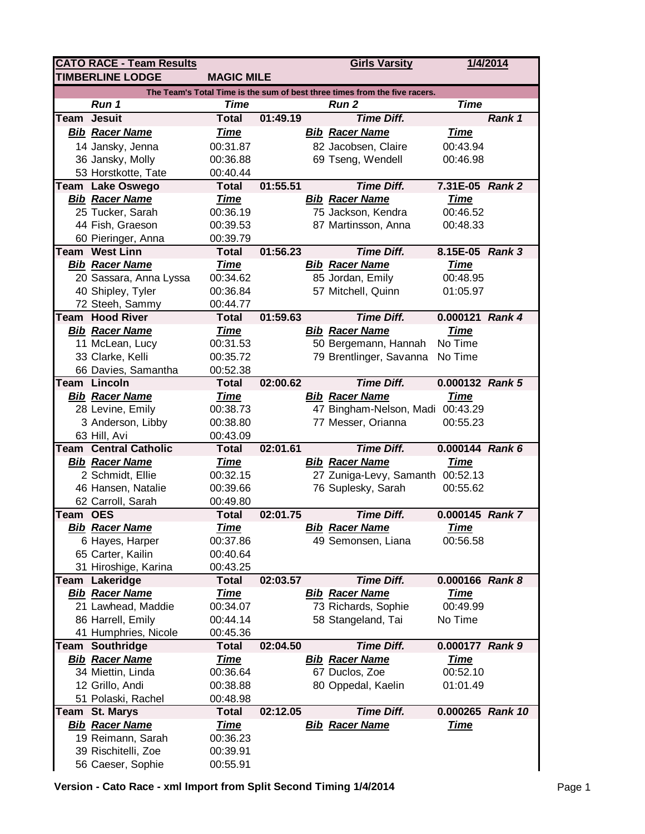|                                                                            | <b>CATO RACE - Team Results</b>           |                         |          |  | <b>Girls Varsity</b>                         |                         | 1/4/2014 |  |  |  |  |
|----------------------------------------------------------------------------|-------------------------------------------|-------------------------|----------|--|----------------------------------------------|-------------------------|----------|--|--|--|--|
|                                                                            | <b>TIMBERLINE LODGE</b>                   | <b>MAGIC MILE</b>       |          |  |                                              |                         |          |  |  |  |  |
| The Team's Total Time is the sum of best three times from the five racers. |                                           |                         |          |  |                                              |                         |          |  |  |  |  |
|                                                                            | Run 1                                     | Time                    |          |  | Run <sub>2</sub>                             | <b>Time</b>             |          |  |  |  |  |
| <b>Team</b>                                                                | <b>Jesuit</b>                             | <b>Total</b>            | 01:49.19 |  | <b>Time Diff.</b>                            |                         | Rank 1   |  |  |  |  |
|                                                                            | <b>Bib Racer Name</b>                     | <u>Time</u>             |          |  | <b>Bib Racer Name</b>                        | <b>Time</b>             |          |  |  |  |  |
|                                                                            | 14 Jansky, Jenna                          | 00:31.87                |          |  | 82 Jacobsen, Claire                          | 00:43.94                |          |  |  |  |  |
|                                                                            | 36 Jansky, Molly                          | 00:36.88                |          |  | 69 Tseng, Wendell                            | 00:46.98                |          |  |  |  |  |
|                                                                            | 53 Horstkotte, Tate                       | 00:40.44                |          |  |                                              |                         |          |  |  |  |  |
|                                                                            | Team Lake Oswego                          | <b>Total</b>            | 01:55.51 |  | <b>Time Diff.</b>                            | 7.31E-05 Rank 2         |          |  |  |  |  |
|                                                                            | <b>Bib Racer Name</b>                     | <b>Time</b>             |          |  | <b>Bib Racer Name</b>                        | <b>Time</b>             |          |  |  |  |  |
|                                                                            | 25 Tucker, Sarah                          | 00:36.19                |          |  | 75 Jackson, Kendra                           | 00:46.52                |          |  |  |  |  |
|                                                                            | 44 Fish, Graeson                          | 00:39.53                |          |  | 87 Martinsson, Anna                          | 00:48.33                |          |  |  |  |  |
|                                                                            | 60 Pieringer, Anna                        | 00:39.79                |          |  |                                              |                         |          |  |  |  |  |
|                                                                            | <b>Team West Linn</b>                     | <b>Total</b>            | 01:56.23 |  | <b>Time Diff.</b>                            | 8.15E-05 Rank 3         |          |  |  |  |  |
|                                                                            | <b>Bib Racer Name</b>                     | <b>Time</b>             |          |  | <b>Bib Racer Name</b>                        | <b>Time</b>             |          |  |  |  |  |
|                                                                            | 20 Sassara, Anna Lyssa                    | 00:34.62                |          |  | 85 Jordan, Emily                             | 00:48.95                |          |  |  |  |  |
|                                                                            | 40 Shipley, Tyler                         | 00:36.84                |          |  | 57 Mitchell, Quinn                           | 01:05.97                |          |  |  |  |  |
|                                                                            | 72 Steeh, Sammy                           | 00:44.77                |          |  |                                              |                         |          |  |  |  |  |
|                                                                            | <b>Team Hood River</b>                    | <b>Total</b>            | 01:59.63 |  | <b>Time Diff.</b>                            | 0.000121 Rank 4         |          |  |  |  |  |
|                                                                            | <b>Bib Racer Name</b>                     | <b>Time</b>             |          |  | <b>Bib Racer Name</b>                        | <b>Time</b>             |          |  |  |  |  |
|                                                                            | 11 McLean, Lucy                           | 00:31.53                |          |  | 50 Bergemann, Hannah                         | No Time                 |          |  |  |  |  |
|                                                                            | 33 Clarke, Kelli                          | 00:35.72                |          |  | 79 Brentlinger, Savanna                      | No Time                 |          |  |  |  |  |
|                                                                            | 66 Davies, Samantha                       | 00:52.38                |          |  |                                              |                         |          |  |  |  |  |
|                                                                            | Team Lincoln                              | <b>Total</b>            | 02:00.62 |  | <b>Time Diff.</b>                            | 0.000132 Rank 5         |          |  |  |  |  |
|                                                                            | <b>Bib Racer Name</b>                     | <b>Time</b>             |          |  | <b>Bib Racer Name</b>                        | <u>Time</u>             |          |  |  |  |  |
|                                                                            | 28 Levine, Emily                          | 00:38.73                |          |  | 47 Bingham-Nelson, Madi 00:43.29             |                         |          |  |  |  |  |
|                                                                            | 3 Anderson, Libby                         | 00:38.80                |          |  | 77 Messer, Orianna                           | 00:55.23                |          |  |  |  |  |
|                                                                            | 63 Hill, Avi                              | 00:43.09                |          |  |                                              |                         |          |  |  |  |  |
|                                                                            | <b>Team Central Catholic</b>              | <b>Total</b>            | 02:01.61 |  | <b>Time Diff.</b>                            | 0.000144 Rank 6         |          |  |  |  |  |
|                                                                            | <b>Bib Racer Name</b>                     | <b>Time</b>             |          |  | <b>Bib Racer Name</b>                        | <b>Time</b>             |          |  |  |  |  |
|                                                                            | 2 Schmidt, Ellie                          | 00:32.15                |          |  | 27 Zuniga-Levy, Samanth 00:52.13             |                         |          |  |  |  |  |
|                                                                            | 46 Hansen, Natalie                        | 00:39.66                |          |  | 76 Suplesky, Sarah                           | 00:55.62                |          |  |  |  |  |
|                                                                            | 62 Carroll, Sarah                         | 00:49.80                |          |  |                                              |                         |          |  |  |  |  |
| Team OES                                                                   |                                           | <b>Total</b>            | 02:01.75 |  | <b>Time Diff.</b>                            | 0.000145 Rank 7         |          |  |  |  |  |
|                                                                            | <b>Bib Racer Name</b>                     | <b>Time</b>             |          |  | <b>Bib Racer Name</b>                        | <b>Time</b>             |          |  |  |  |  |
|                                                                            | 6 Hayes, Harper                           | 00:37.86                |          |  | 49 Semonsen, Liana                           | 00:56.58                |          |  |  |  |  |
|                                                                            | 65 Carter, Kailin                         | 00:40.64                |          |  |                                              |                         |          |  |  |  |  |
|                                                                            | 31 Hiroshige, Karina                      | 00:43.25                |          |  |                                              |                         |          |  |  |  |  |
|                                                                            | Team Lakeridge                            | <b>Total</b>            | 02:03.57 |  | <b>Time Diff.</b>                            | 0.000166 Rank 8         |          |  |  |  |  |
|                                                                            | <b>Bib Racer Name</b>                     | <u>Time</u><br>00:34.07 |          |  | <b>Bib Racer Name</b><br>73 Richards, Sophie | <u>Time</u><br>00:49.99 |          |  |  |  |  |
|                                                                            | 21 Lawhead, Maddie                        | 00:44.14                |          |  | 58 Stangeland, Tai                           | No Time                 |          |  |  |  |  |
|                                                                            | 86 Harrell, Emily<br>41 Humphries, Nicole | 00:45.36                |          |  |                                              |                         |          |  |  |  |  |
|                                                                            | Team Southridge                           | <b>Total</b>            | 02:04.50 |  | <b>Time Diff.</b>                            | 0.000177 Rank 9         |          |  |  |  |  |
|                                                                            | <b>Bib Racer Name</b>                     | <b>Time</b>             |          |  | <b>Bib Racer Name</b>                        | <b>Time</b>             |          |  |  |  |  |
|                                                                            | 34 Miettin, Linda                         | 00:36.64                |          |  | 67 Duclos, Zoe                               | 00:52.10                |          |  |  |  |  |
|                                                                            | 12 Grillo, Andi                           | 00:38.88                |          |  | 80 Oppedal, Kaelin                           | 01:01.49                |          |  |  |  |  |
|                                                                            | 51 Polaski, Rachel                        | 00:48.98                |          |  |                                              |                         |          |  |  |  |  |
|                                                                            | Team St. Marys                            | <b>Total</b>            | 02:12.05 |  | <b>Time Diff.</b>                            | 0.000265 Rank 10        |          |  |  |  |  |
|                                                                            | <b>Bib Racer Name</b>                     | <u>Time</u>             |          |  | <b>Bib Racer Name</b>                        | <b>Time</b>             |          |  |  |  |  |
|                                                                            | 19 Reimann, Sarah                         | 00:36.23                |          |  |                                              |                         |          |  |  |  |  |
|                                                                            | 39 Rischitelli, Zoe                       | 00:39.91                |          |  |                                              |                         |          |  |  |  |  |
|                                                                            | 56 Caeser, Sophie                         | 00:55.91                |          |  |                                              |                         |          |  |  |  |  |